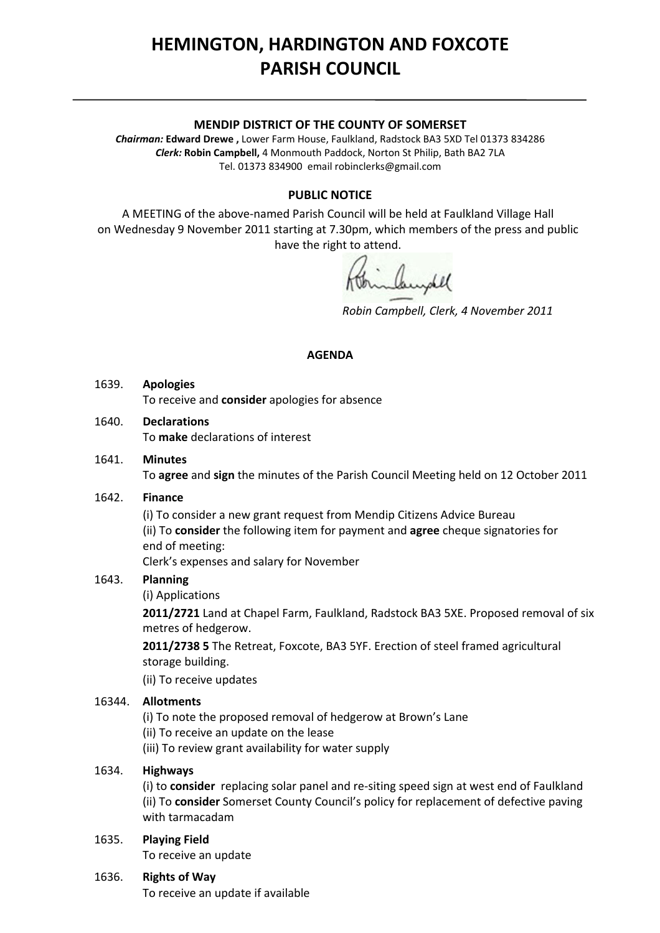# **HEMINGTON, HARDINGTON AND FOXCOTE PARISH COUNCIL**

#### **MENDIP DISTRICT OF THE COUNTY OF SOMERSET**

*Chairman:* **Edward Drewe ,** Lower Farm House, Faulkland, Radstock BA3 5XD Tel 01373 834286 *Clerk:* **Robin Campbell,** 4 Monmouth Paddock, Norton St Philip, Bath BA2 7LA Tel. 01373 834900 email [robinclerks@gmail.com](mailto:robinclerks@googlemail.com)

## **PUBLIC NOTICE**

A MEETING of the above‐named Parish Council will be held at Faulkland Village Hall on Wednesday 9 November 2011 starting at 7.30pm, which members of the press and public have the right to attend.

*Robin Campbell, Clerk, 4 November 2011*

#### **AGENDA**

## 1639. **Apologies** To receive and **consider** apologies for absence

## 1640. **Declarations**

To **make** declarations of interest

1641. **Minutes** To **agree** and **sign** the minutes of the Parish Council Meeting held on 12 October 2011

## 1642. **Finance**

 (i) To consider a new grant request from Mendip Citizens Advice Bureau (ii) To **consider** the following item for payment and **agree** cheque signatories for end of meeting:

Clerk's expenses and salary for November

## 1643. **Planning**

(i) Applications

**2011/2721** Land at Chapel Farm, Faulkland, Radstock BA3 5XE. Proposed removal of six metres of hedgerow.

**2011/2738 5** The Retreat, Foxcote, BA3 5YF. Erection of steel framed agricultural storage building.

(ii) To receive updates

## 16344. **Allotments**

- (i) To note the proposed removal of hedgerow at Brown's Lane
- (ii) To receive an update on the lease
- (iii) To review grant availability for water supply

## 1634. **Highways**

(i) to **consider** replacing solar panel and re‐siting speed sign at west end of Faulkland (ii) To **consider** Somerset County Council's policy for replacement of defective paving with tarmacadam

## 1635. **Playing Field**

To receive an update

## 1636. **Rights of Way**

To receive an update if available